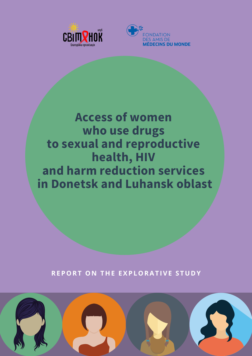



# **Access of women who use drugs to sexual and reproductive health, HIV and harm reduction services in Donetsk and Luhansk oblast**

**REPORT O N THE EXPLORAT IVE S TUD Y**

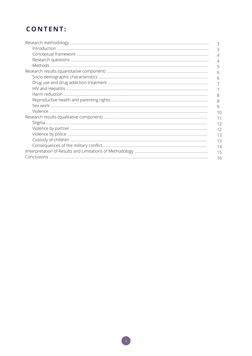# **CONTENT:**

| 3  |
|----|
| 3  |
| 4  |
| 4  |
| 5  |
| 6  |
| 6  |
|    |
|    |
| 8  |
| 8  |
| 9  |
| 10 |
| 11 |
| 12 |
| 12 |
| 13 |
| 13 |
| 14 |
| 15 |
| 16 |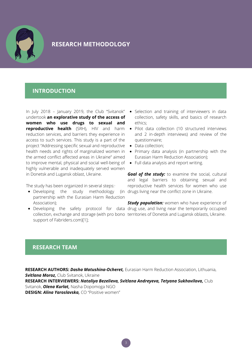

# **RESEARCH METHODOLOGY**

# **INTRODUCTION**

In July 2018 – January 2019, the Club "Svitanok" undertook **an explorative study of the access of women who use drugs to sexual and reproductive health** (SRH), HIV and harm Pilot data collection (10 structured interviews reduction services, and barriers they experience in access to such services. This study is a part of the project "Addressing specific sexual and reproductive Data collection; health needs and rights of marginalized women in Primary data analysis (in partnership with the the armed conflict affected areas in Ukraine" aimed to improve mental, physical and social well-being of Full data analysis and report writing. highly vulnerable and inadequately served women in Donetsk and Lugansk oblast, Ukraine.

The study has been organized in several steps:·

- Developing the study methodology partnership with the Eurasian Harm Reduction Association);
- support of Fabriders.com)[1];
- Selection and training of interviewers in data collection, safety skills, and basics of research ethics;
- and 2 in-depth interviews) and review of the questionnaire;
- 
- Eurasian Harm Reduction Association);
- 

*Goal of the study:* to examine the social, cultural and legal barriers to obtaining sexual and reproductive health services for women who use (in drugs living near the conflict zone in Ukraine.

Developing the safety protocol for data drug use, and living near the temporarily occupied collection, exchange and storage (with pro bono territories of Donetsk and Lugansk oblasts, Ukraine. **Study population:** women who have experience of

# **RESEARCH TEAM**

**RESEARCH AUTHORS:** *Dasha Matushina-Ocheret,* Eurasian Harm Reduction Association, Lithuania, *Svitlana Moroz,* Club Svitanok, Ukraine **RESEARCH INTERVIEWERS:** *Nataliya Bezelieva, Svitlana Andreyeva, Tetyana Sukhovilova,* Club Svitanok, *Olena Kurlat,* Nasha Dopomoga NGO **DESIGN:** *Alina Yaroslavska,* CO "Positive women"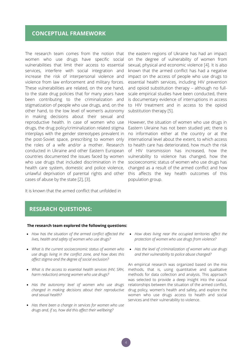# **CONCEPTUAL FRAMEWORK**

The research team comes from the notion that women who use drugs have specific social vulnerabilities that limit their access to essential services, interfere with social integration and increase the risk of interpersonal violence and violence from law enforcement and military forces. These vulnerabilities are related, on the one hand, to the state drug policies that for many years have been contributing to the criminalization and stigmatization of people who use drugs, and, on the other hand, to the low level of women's autonomy in making decisions about their sexual and reproductive health. In case of women who use drugs, the drug policy/criminalization related stigma interplays with the gender stereotypes prevalent in the post-Soviet space, prescribing to women only the roles of a wife and/or a mother. Research conducted in Ukraine and other Eastern European countries documented the issues faced by women who use drugs that included discrimination in the health care system, domestic and police violence, unlawful deprivation of parental rights and other cases of abuse by the state [2], [3].

It is known that the armed conflict that unfolded in

the eastern regions of Ukraine has had an impact on the degree of vulnerability of women from sexual, physical and economic violence [4]. It is also known that the armed conflict has had a negative impact on the access of people who use drugs to essential health services, including HIV prevention and opioid substitution therapy – although no fullscale empirical studies have been conducted, there is documentary evidence of interruptions in access to HIV treatment and in access to the opioid substitution therapy [5].

However, the situation of women who use drugs in Eastern Ukraine has not been studied yet; there is no information either at the country or at the international level about the extent, to which access to health care has deteriorated, how much the risk of HIV transmission has increased, how the vulnerability to violence has changed, how the socioeconomic status of women who use drugs has changed as a result of the armed conflict and how this affects the key health outcomes of this population group.

# **RESEARCH QUESTIONS:**

#### **The research team explored the following questions:**

- *How has the situation of the armed conflict affected the lives, health and safety of women who use drugs?*
- *What is the current socioeconomic status of women who use drugs living in the conflict zone, and how does this affect stigma and the degree of social exclusion?*
- *What is the access to essential health services (HIV, SRH, harm reduction) among women who use drugs?*
- *Has the autonomy level of women who use drugs changed in making decisions about their reproductive and sexual health?*
- *Has there been a change in services for women who use drugs and, if so, how did this affect their wellbeing?*
- *How does living near the occupied territories affect the protection of women who use drugs from violence?*
- *Has the level of criminalization of women who use drugs and their vulnerability to police abuse changed?*

An empirical research was organized based on the mix methods, that is, using quantitative and qualitative methods for data collection and analysis. This approach was selected to provide a deep insight into the causal relationships between the situation of the armed conflict, drug policy, women's health and safety, and explore the women who use drugs access to health and social services and their vulnerability to violence.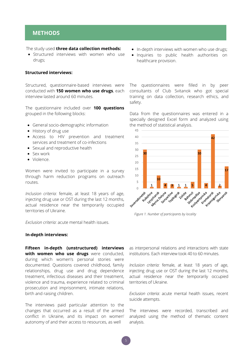# **METHODS**

#### The study used **three data collection methods:** In-depth interviews with women who use drugs;

Structured interviews with women who use drugs;

#### **Structured interviews:**

Structured, questionnaire-based interviews were conducted with **150 women who use drugs**, each interview lasted around 60 minutes.

The questionnaire included over **100 questions** grouped in the following blocks:

- General socio-demographic information
- History of drug use
- Access to HIV prevention and treatment services and treatment of co-infections
- Sexual and reproductive health
- Sex work
- Violence.

Women were invited to participate in a survey through harm reduction programs on outreach routes.

*Inclusion criteria:* female, at least 18 years of age, injecting drug use or OST during the last 12 months, actual residence near the temporarily occupied territories of Ukraine.

*Exclusion criteria:* acute mental health issues.

#### **In-depth interviews:**

**Fifteen in-depth (unstructured) interviews with women who use drugs** were conducted, during which women's personal stories were documented. Questions covered childhood, family relationships, drug use and drug dependence treatment, infectious diseases and their treatment, violence and trauma, experience related to criminal prosecution and imprisonment, intimate relations, birth and raising children.

The interviews paid particular attention to the changes that occurred as a result of the armed conflict in Ukraine, and its impact on women' autonomy of and their access to resources, as well

- 
- Inquiries to public health authorities on healthcare provision.

The questionnaires were filled in by peer consultants of Club Svitanok who got special training on data collection, research ethics, and safety.

Data from the questionnaires was entered in a specially designed Excel form and analyzed using the method of statistical analysis.



*Figure 1. Number of participants by locality*

as interpersonal relations and interactions with state institutions. Each interview took 40 to 60 minutes.

*Inclusion criteria:* female, at least 18 years of age, injecting drug use or OST during the last 12 months, actual residence near the temporarily occupied territories of Ukraine.

*Exclusion criteria:* acute mental health issues, recent suicide attempts.

The interviews were recorded, transcribed and analyzed using the method of thematic content analysis.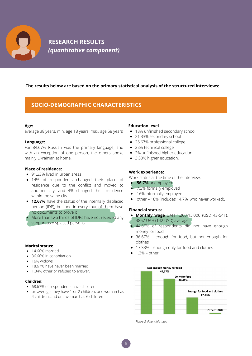

# **RESEARCH RESULTS** *(quantitative component)*

#### **The results below are based on the primary statistical analysis of the structured interviews:**

# **SOCIO-DEMOGRAPHIC CHARACTERISTICS**

#### **Age:**

average 38 years, min. age 18 years, max. age 58 years

#### **Language:**

For 84.67% Russian was the primary language, and with an exception of one person, the others spoke mainly Ukrainian at home.

#### **Place of residence:**

- 91.33% lived in urban areas
- 14% of respondents changed their place of residence due to the conflict and moved to another city, and 4% changed their residence within the same city
- **12.67%** have the status of the internally displaced person (IDP), but one in every four of them have no documents to prove it
- More than two thirds of IDPs have not received any support as displaced persons.

#### **Marital status:**

- $14.66%$  married
- 36.66% in cohabitation
- 16% widows
- 18.67% have never been married
- 1.34% other or refused to answer.

#### **Children:**

- 68.67% of respondents have children
- on average, they have 1 or 2 children, one woman has 4 children, and one woman has 6 children

#### **Education level**

- 18% unfinished secondary school
- 21.33% secondary school
- 26.67% professional college
- 28% technical college
- 2% unfinished higher education
- 3.33% higher education.

#### **Work experience:**

Work status at the time of the interview:

- **56.7%** unemployed
- 7.3% formally employed
- 16% informally employed
- other 18% (includes 14.7%, who never worked).

#### **Financial status:**

- **Monthly wage** UAH 1,200-15,000 (USD 43-541), 3867 UAH (142 USD) average
- $\bullet$  44.67% of respondents did not have enough money for food
- 36.67% enough for food, but not enough for clothes
- 17.33% enough only for food and clothes
- $-1.3% other.$



*Figure 2. Financial status*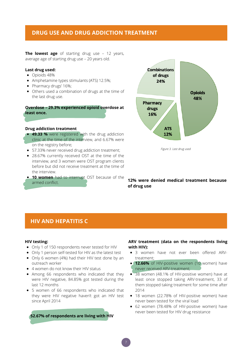# **DRUG USE AND DRUG ADDICTION TREATMENT**

**The lowest age** of starting drug use – 12 years, average age of starting drug use – 20 years old.

#### **Last drug used:**

- Opioids 48%
- Amphetamine types stimulants (ATS) 12.5%;
- Pharmacy drugs' 16%;
- Others used a combination of drugs at the time of the last drug use.

**Overdose – 29.3% experienced opioid overdose at least once.**

#### **Drug addiction treatment**

- **49.33 %** were registered with the drug addiction clinic at the time of the interview, and 6.67% were on the registry before;
- 57.33% never received drug addiction treatment;
- 28.67% currently received OST at the time of the interview, and 3 women were OST program clients before but did not receive treatment at the time of the interview.
- **10 women** had to interrupt OST because of the armed conflict.



*Figure 3. Last drug used*

**12% were denied medical treatment because of drug use**

## **HIV AND HEPATITIS C**

#### **HIV testing:**

- Only 1 of 150 respondents never tested for HIV
- Only 1 person self-tested for HIV as the latest test
- Only 6 women (4%) had their HIV test done by an outreach worker
- 4 women do not know their HIV status
- Among 66 respondents who indicated that they were HIV negative, 84.85% got tested during the last 12 months
- 5 women of 66 respondents who indicated that they were HIV negative haven't got an HIV test since April 2014

#### **52.67% of respondents are living with HIV**

#### **ARV treatment (data on the respondents living with HIV):**

- 3 women have not ever been offered ARVtreatment;
- **12.66%** of HIV-positive women (10 women) have never received ARV-treatment;
- 38 women (48.1% of HIV-positive women) have at least once stopped taking ARV-treatment, 33 of them stopped taking treatment for some time after 2014
- 18 women (22.78% of HIV-positive women) have never been tested for the viral load
- 62 women (78.48% of HIV-positive women) have never been tested for HIV drug resistance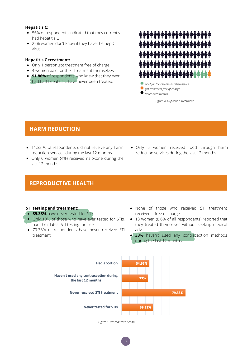#### **Hepatitis C:**

- 56% of respondents indicated that they currently had hepatitis C
- 22% women don't know if they have the hep C virus.

#### **Hepatitis C treatment:**

- Only 1 person got treatment free of charge
- 4 women paid for their treatment themselves
- **91.86%** of respondents who knew that they ever had had hepatitis C have never been treated.

*paid for their treatment themselves*

*got treatment free of charge*  $\bullet$ *never been treated*

*Figure 4. Hepatitis C treatment*

# **HARM REDUCTION**

- 11.33 % of respondents did not receive any harm reduction services during the last 12 months
- Only 6 women (4%) received naloxone during the last 12 months
- Only 5 women received food through harm reduction services during the last 12 months.

# **REPRODUCTIVE HEALTH**

- **39.33%** have never tested for STIs
- Only 10% of those who have ever tested for STIs, had their latest STI testing for free
- 79.33% of respondents have never received STI treatment
- **STI testing and treatment:**  $\bullet$  None of those who received STI treatment received it free of charge
	- 13 women (8.6% of all respondents) reported that they treated themselves without seeking medical advice
	- **33%** haven't used any contraception methods during the last 12 months.



*Figure 5. Reproductive health*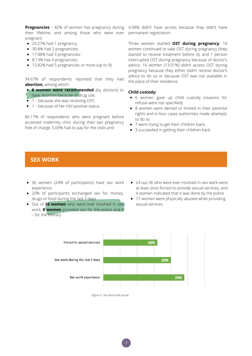**Pregnancies** – 82% of women has pregnancy during 4.08% didn't have access because they didn't have their lifetime, and among those who were ever pregnant:

- 29.27% had 1 pregnancy;
- 30.8% had 2 pregnancies;
- 17.88% had 3 pregnancies;
- 8.13% has 4 pregnancies;
- 13.82% had 5 pregnancies or more (up to 9).

34.67% of respondents reported that they had **abortion,** among which:

- **8 women were recommended** (by doctors) to have abortion because of drug use,
- 1 because she was receiving OST,
- 1 because of her HIV-positive status.

86.17% of respondents who were pregnant before accessed maternity clinic during their last pregnancy free of charge, 5.69% had to pay for the visits and

permanent registration.

Three women started **OST during pregnancy**, 10 women continued to take OST during pregnancy (they started to receive treatment before it), and 1 person interrupted OST during pregnancy because of doctor's advice. 16 women (13.01%) didn't access OST during pregnancy because they either didn't receive doctor's advice to do so or because OST was not available in the place of their residence.

#### **Child custody:**

- 6 women gave up child custody (reasons for refusal were not specified)
- 8 women were denied or limited in their parental rights and in four cases authorities made attempts to do so
- 7 were trying to get their children back,
- 3 succeeded in getting their children back.

# **SEX WORK**

- 36 women (24% of participants) have sex work experience
- 20% of participants exchanged sex for money, drugs or food during the last 7 days
- Out of **36 women** who were ever involved in sex work, **8 women** provided sex for the police and 6 – for the military
- 24 out 36 who were ever involved in sex work were at least once forced to provide sexual services, and 4 women indicated that it was done by the police
- 17 women were physically abused while providing sexual services.



*Figure 6. Sex work and sexual*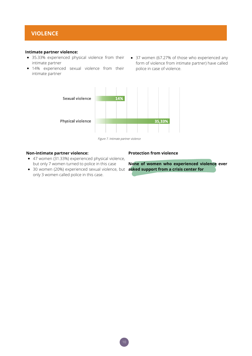# **VIOLENCE**

#### **Intimate partner violence:**

- 35.33% experienced physical violence from their intimate partner
- 14% experienced sexual violence from their intimate partner
- 37 women (67.27% of those who experienced any form of violence from intimate partner) have called police in case of violence.



*Figure 7. Intimate partner violence*

#### **Non-intimate partner violence:**

- 47 women (31.33%) experienced physical violence, but only 7 women turned to police in this case
- 30 women (20%) experienced sexual violence, but **asked support from a crisis center for** only 3 women called police in this case.

#### **Protection from violence**

**None of women who experienced violence ever**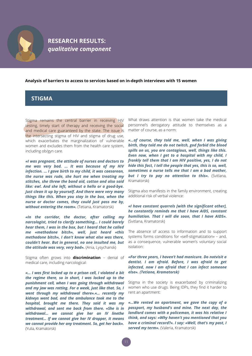

# **RESEARCH RESULTS:** *qualitative component*

**Analysis of barriers to access to services based on in-depth interviews with 15 women**

# **STIGMA**

Stigma remains the central barrier in receiving HIV testing, timely start of therapy and receiving the social and medical care guaranteed by the state. The issue is the intersecting stigma of HIV and stigma of drug use, which exacerbates the marginalization of vulnerable women and excludes them from the health care system, including ob/gyn care.

*«I was pregnant, the attitude of nurses and doctors to me was very bad. ... It was because of my HIV infection. ... I gave birth to my child, it was caesarean, the nurse was rude, she hurt me when treating my stitches, she threw the band aid, cotton and also said like: ew!. And she left, without a hello or a good-bye. Just clean it up by yourself. And there were very many things like this. When you stay in the box, when the nurse or doctor comes, they could just pass me by,* without entering the room». (Tetiana, Kramatorsk)

*«In the corridor, the doctor, after calling my narcologist, tried to clarify something… I could barely hear them, I was in the box, but I heard that he called me «methadone bitch», well, just heard «this methadone bitch», I don't know what else was there, couldn't hear. But in general, no one insulted me, but the attitude was very, very bad».* (Ania, Lysychansk)

Stigma often grows into **discrimination** – denial of medical care, including narcological:

*«… I was first locked up to a prison cell, I violated a bit the regime there, so in short, I was locked up to the punishment cell, when I was going through withdrawal and my jaw was rotting. For a week, just like that. So, I went through my withdrawal there».«… recently my kidneys went bad, and the ambulance took me to the hospital, brought me there. They said it was my withdrawal, and sent me back from there. «She is in withdrawal… we cannot give her an IV linethe treatment... If we cannot give her IV dropper, it means we cannot provide her any treatment. So, get her back».* (Yulia, Kramatorsk)

What draws attention is that women take the medical personnel's derogatory attitude to themselves as a matter of course, as a norm:

*«...of course, they told me, well, when I was giving birth, they told me do not twitch, god forbid the blood spills on us, you are contagious, well, things like this. Even now, when I get to a hospital with my child, I frankly tell them that I am HIV positive, yes, I do not hide this fact, I tell the people that yes, this is so, well, sometimes a nurse tells me that I am a bad mother,* **but I try to pay no attention to this».** (Svitlana, Kramatorsk)

Stigma also manifests in the family environment, creating additional risk of verbal violence:

*«I have constant quarrels [with the significant other], he constantly reminds me that I have AIDS, constant humiliation. That I will die soon, that I have AIDS».* (Svitlana, Kramatorsk)

The absence of access to information and to support systems forms conditions for «self-stigmatization» – and, as a consequence, vulnerable women's voluntary social isolation:

*«For three years, I haven't had manicure. Do notvisit a dentist. I am afraid. Before, I was afraid to get infected, now I am afraid that I can infect someone else». (Tetiana, Kramatorsk)*

Stigma in the society is exacerbated by criminalizing women who use drugs. Being IDPs, they find it harder to rent an apartment:

*«…We rented an apartment, we gave the copy of a passport, my husband's and mine. The next day, the landlord comes with a policeman, it was his relative I think, and says: «Why haven't you mentioned that you have a criminal record?». I say: «Well, that's my past, I* served my term». (Valeria, Kramatorsk)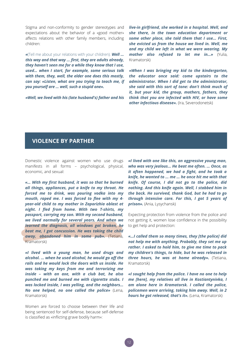Stigma and non-conformity to gender stereotypes and expectations about the behavior of a «good mother» affects relations with other family members, including children:

*«*(Tell me about your relations with your children). *Well … this way and that way … first, they are adults already, they haven't seen me for a while they know that I use, used... when I start, for example, some serious talk with them, they, well, the elder one does this mostly, can say: «Listen, what are you trying to teach me, if you yourself are … well, such a stupid one».*

*«Well, we lived with his (late husband's) father and his*

*live-in girlfriend, she worked in a hospital. Well, and she there, in the town education department or some other place, she told them that I use... First, she evicted us from the house we lived in. Well, me and my child we left in what we were wearing. My mother also refused to let me in…»* (Yulia, Kramatorsk)

*«When I was bringing my kid to the kindergarten, the educator once said: come upstairs to the administrator. When I did get to the administrator, she said with this sort of tone: don't think much of it, but your kid, the group, mothers, fathers, they think that you are infected with HIV, or have some other infectious disease».* (Ira, Severodonetsk)

# **VIOLENCE BY PARTHER**

Domestic violence against women who use drugs manifests in all forms – psychological, physical, economic, and sexual:

*«… With my first husband, it was so that he burned all things, appliances, put a knife to my throat. He forced me to drink, was pouring vodka into my mouth, raped me. I was forced to flee with my 4 year-old child to my mother in Zaporizhia oblast at night. I fled from home. With two T-shirts, my passport, carrying my son. With my second husband, we lived normally for several years. And when we learned the diagnosis, all windows got broken, he beat me, I got concussion. He was taking the child away, abandoned him in some pub».* (Tetiana, Kramatorsk)

*«I lived with a young man, he used drugs and alcohol. … when he used alcohol, he would go off the rails and he would lock the doors with us inside. He was taking my keys from me and terrorizing me inside – with an axe, with a club bat, he also punched me and burned me with cigarette stubs. I was locked inside, I was yelling, and the neighbors… No one helped, no one called the police»* (Lena, Kramatorsk)

Women are forced to choose between their life and being sentenced for self-defense, because self-defense is classified as «inflicting grave bodily harm»:

*«I lived with one like this, an aggressive young man, who was very jealous... He beat me often. … Once, as it often happened, we had a fight, and he took a knife, he wanted to ... me … he once hit me with that knife. Of course, I did not go to the police, did nothing. And this knife again. Well, I stabbed him in the back. He survived, thank God, but he had to go through intensive care. For this, I got 5 years of prison».* (Ania, Lysychansk)

Expecting protection from violence from the police and not getting it, women lose confidence in the possibility to get help and protection:

*«…I called them so many times, they [the police] did not help me with anything. Probably, they set me up rather. I asked to hold him, to give me time to pack my children's things, to hide, but he was released in three hours, he was at home already».* (Tetiana, Kramatorsk)

*«I sought help from the police. I have no one to help me [here], my relatives all live in Kostiantynivka, I am alone here in Kramatorsk. I called the police, policemen were arriving, taking him away. Well, in 2 hours he got released, that's it».* (Lena, Kramatorsk)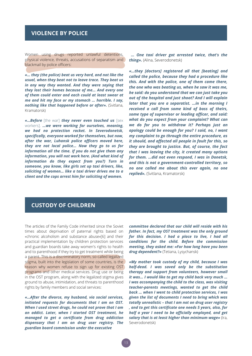### **VIOLENCE BY POLICE**

Women using drugs reported unlawful detentions, physical violence, threats, accusations of separatism and blackmail by police officers:

*«… they (the police) beat us very hard, and not like the usual, when they beat not to leave trace. They beat us in any way they wanted. And they were saying that they lost their homes because of me... And every one of them could enter and each could at least swear at me and hit my face or my stomach … horrible. I say, nothing like that happened before or after».* (Svitlana, Kramatorsk)

*«…Before* [the war] *they never even touched us* [sex workers]. *…we were working for ourselves, meaning, we had no protection racket. In Severodonetsk, specifically, everyone worked for themselves, but now, after the war, Luhansk police officers moved here, they are not local police... Now they go to us for information all the time. If you do not give them any information, you will not work here. (And what kind of information do they expect from you?) Turn in someone, you know, like girls set up taxi drivers, like, soliciting of women… like a taxi driver drives me to a client and the cops arrest him for soliciting of women.*

*… One taxi driver got arrested twice, that's the thing».* (Alina, Severodonetsk)

*«…they [doctors] registered all that [beating] and called the police, because they had a procedure like this. And with the police, one of them came there, the one who was beating us, when he saw it was me, he said: do you understand that we can just take you out of the hospital and just shoot? And I will explain later that you are a separatist. …in the morning I received a call from some kind of boss of theirs, some type of supervisor or leading officer, and said: what do you expect from your complaint? What can we do for you to withdraw it? Perhaps just an apology could be enough for you? I said, no, I want my complaint to go through the entire procedure, as it should, and affected all people in fault for this, so they are brought to justice. But, of course, the fact that I was leaving the city, it created many options for them. …did not even respond, I was in Donetsk, and this is not a government-controlled territory, so no one called me about this ever again, no one replied».* (Svitlana, Kramatorsk)

#### **CUSTODY OF CHILDREN**

The articles of the Family Code inherited since the Soviet times about deprivation of paternal rights based on «chronic alcoholism and substance abuse»[6] and their practical implementation by children protection services and guardian boards take away women's rights to health and to parenthood if they try to get treatment while being a parent. This is a discriminatory norm, so-called legalized stigma, built into the legislation of some countries, is the reason why women refuse to sign up for existing OST programs and other medical services. Drug use or being in the OST program, along with the legalized stigma gives ground to abuse, intimidation, and threats to parenthood rights by family members and social services:

*«…After the divorce, my husband, via social services, initiated requests for documents that I am on OST. When I used street drugs, he could not prove that I am an addict. Later, when I started OST treatment, he managed to get a certificate from drug addiction dispensary that I am on drug user registry. The guardian board commission under the executive*

*committee declared that our child will reside with his father. In fact, my OST treatment was the only ground for this decision. I had a place to live, I had all conditions for the child. Before the commission meeting, they asked me: «For how long have you been drug dependent?»* (Tetiana, Lysychansk)

*«My mother took custody of my child, because I was half-dead. I was saved only be the substitution therapy and support from volunteers, however small it was... I would like to get my child back very much … I was accompanying the child to the class, was visiting teacher-parents meetings, wanted to get the child back … when I went to child protection services, I was given the list of documents I need to bring which was totally unrealistic – that I am not on drug user registry , and to get this certificate one needs 5 years, also, for half a year I need to be officially employed, and get salary that is at least higher than minimum wage»* (Ira, Severodonetsk)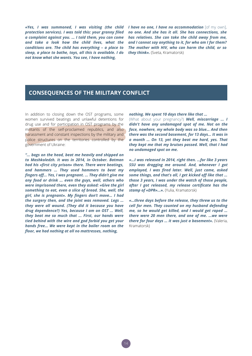*«Yes, I was summoned, I was visiting (the child protection services). I was told this: your granny filed a complaint against you. … I told them, you can come and take a look how the child lives, what the conditions are. The child has everything – a place to sleep, a place to bathe, toys, all this is available. I do not know what she wants. You see, I have nothing,*

*I have no one, I have no accommodation* [of my own], *no one. And she has it all. She has connections, she has relatives. She can take the child away from me, and I cannot say anything to it, for who am I for them? The mother with HIV, who can harm the child, or so they think».* (Sveta, Kramatorsk)

# **CONSEQUENCES OF THE MILITARY CONFLICT**

In addition to closing down the OST programs, some women survived beatings and unlawful detentions for drug use and for participation in OST programs by the militants of the self-proclaimed republics, and also harassment and constant inspections by the military and police structures on the territories controlled by the government of Ukraine:

*"... bags on the head, beat me heavily and shipped on to Mashkoledzh. It was in 2014, in October. Batman had his «first city prison» there. There were beatings, and hammers ... They used hammers to beat my fingers off... Yes, I was pregnant. ... They didn't give me any food or drink ... even the guys, well, others who were imprisoned there, even they asked: «Give the girl something to eat, even a slice of bread. She, well, the girl, she is pregnant». My fingers don't move… I had the surgery then, and the joint was removed. Legs ... they were all wound. (They did it because you have drug dependence?) Yes, because I am on OST ... Well, they beat me so much that ... First, our hands were tied behind with the wire and god forbid you get your hands free... We were kept in the boiler room on the floor, we had nothing at all no mattresses, nothing,*

*nothing. We spent 10 days there like that ...*

(What about your pregnancy?) *Well, miscarriage ... I didn't have any undamaged spot of me. Not on the face, nowhere, my whole body was so blue... And then there was the second basement, for 13 days... It was in a month … On 13, yet they beat me hard, yes. That they kept me that my bruises passed. Well, that I had no undamaged spot on me.*

*«…I was released in 2014, right then. …for like 3 years SSU was dragging me around. And, whenever I got employed, I was fired later. Well, just came, asked some things, and that's all, I get kicked off like that … those 3 years, I was under the watch of those people, after I got released, my release certificate has the stamp of «DPR»...».* (Yulia, Kramatorsk)

*«…three days before the release, they threw us to the cell for men. They counted on my husband defending me, so he would get killed, and I would get raped … there were 20 men there, and one of me. …we were there for four days … it was just a basement».* (Valeria, Kramatorsk)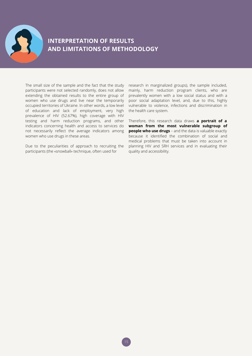

# **INTERPRETATION OF RESULTS AND LIMITATIONS OF METHODOLOGY**

The small size of the sample and the fact that the study participants were not selected randomly, does not allow extending the obtained results to the entire group of women who use drugs and live near the temporarily occupied territories of Ukraine. In other words, a low level of education and lack of employment, very high prevalence of HIV (52.67%), high coverage with HIV testing and harm reduction programs, and other indicators concerning health and access to services do not necessarily reflect the average indicators among women who use drugs in these areas.

Due to the peculiarities of approach to recruiting the participants (the «snowball» technique, often used for

research in marginalized groups), the sample included, mainly, harm reduction program clients, who are prevalently women with a low social status and with a poor social adaptation level, and, due to this, highly vulnerable to violence, infections and discrimination in the health care system.

Therefore, this research data draws **a portrait of a woman from the most vulnerable subgroup of people who use drugs** – and the data is valuable exactly because it identified the combination of social and medical problems that must be taken into account in planning HIV and SRH services and in evaluating their quality and accessibility.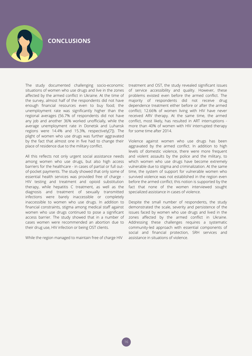

# **CONCLUSIONS**

The study documented challenging socio-economic situations of women who use drugs and live in the zones affected by the armed conflict in Ukraine. At the time of the survey, almost half of the respondents did not have enough financial resources even to buy food; the unemployment rate was significantly higher than the regional averages (56.7% of respondents did not have any job and another 36% worked unofficially, while the average unemployment rate in Donetsk and Luhansk regions were 14.4% and 15.3%, respectively[7]). The plight of women who use drugs was further aggravated by the fact that almost one in five had to change their place of residence due to the military conflict.

All this reflects not only urgent social assistance needs among women who use drugs, but also high access barriers for the healthcare - in cases of partial or full outof-pocket payments. The study showed that only some of essential health services was provided free of charge - HIV testing and treatment and opioid substitution therapy, while hepatitis C treatment, as well as the diagnosis and treatment of sexually transmitted infections were barely inaccessible or completely inaccessible to women who use drugs. In addition to financial constraints, stigma among medical staff against women who use drugs continued to pose a significant access barrier. The study showed that in a number of cases women were recommended an abortion due to their drug use, HIV infection or being OST clients.

While the region managed to maintain free of charge HIV

treatment and OST, the study revealed significant issues of service accessibility and quality. However, these problems existed even before the armed conflict. The majority of respondents did not receive drug dependence treatment either before or after the armed conflict; 12.66% of women living with HIV have never received ARV therapy. At the same time, the armed conflict, most likely, has resulted in ART interruptions more than 40% of women with HIV interrupted therapy for some time after 2014.

Violence against women who use drugs has been aggravated by the armed conflict. In addition to high levels of domestic violence, there were more frequent and violent assaults by the police and the military, to which women who use drugs have become extremely vulnerable due to stigma and criminalization. At the same time, the system of support for vulnerable women who survived violence was not established in the region even before the armed conflict; this notion is supported by the fact that none of the women interviewed sought specialized assistance in cases of violence.

Despite the small number of respondents, the study demonstrated the scale, severity and persistence of the issues faced by women who use drugs and lived in the zones affected by the armed conflict in Ukraine. Addressing these challenges requires a systematic community-led approach with essential components of social and financial protection, SRH services and assistance in situations of violence.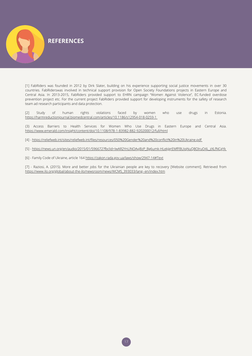

[1] FabRiders was founded in 2012 by Dirk Slater, building on his experience supporting social justice movements in over 30 countries. FabRiderswas involved in technical support provision for Open Society Foundations projects in Eastern Europe and Central Asia. In 2013-2015, FabRiders provided support to EHRN campaign "Women Against Violence", EC-funded overdose prevention project etc. For the current project FabRiders provided support for developing instruments for the safety of research team ad research participants and data protection.

[2] Study of human rights violations faced by women who use drugs in Estonia. [https://harmreductionjournal.biomedcentral.com/articles/10.1186/s12954-018-0259-1](https://www.emerald.com/insight/content/doi/10.1108/978-1-83982-882-920200012/full/html)

{3} Access Barriers to Health Services for Women Who Use Drugs in Eastern Europe and Central Asia. <https://www.emerald.com/insight/content/doi/10.1108/978-1-83982-882-920200012/full/html>

[4] - [https://reliefweb.int/sites/reliefweb.int/files/resources/050%20Gender%20and%20conflict%20in%20Ukraine.pdf](https://www.emerald.com/insight/content/doi/10.1108/978-1-83982-882-920200012/full/html)

[5] - [https://news.un.org/en/audio/2015/01/596672?fbclid=IwAR2YnLlNOAyjBzP\\_Bg6umk-HLekJgrEMfFBUiqNuQ8OlruO4L\\_zXLfNCgYk](https://www.emerald.com/insight/content/doi/10.1108/978-1-83982-882-920200012/full/html)

[6] - Family Code of Ukraine, article 164 [https://zakon.rada.gov.ua/laws/show/2947-14#Text](https://www.emerald.com/insight/content/doi/10.1108/978-1-83982-882-920200012/full/html)

[7] - Raziosi, A. (2015). More and better jobs for the Ukrainian people are key to recovery [Website comment]. Retrieved from [https://www.ilo.org/global/about-the-ilo/newsroom/news/WCMS\\_393033/lang--en/index.htm](https://www.emerald.com/insight/content/doi/10.1108/978-1-83982-882-920200012/full/html)